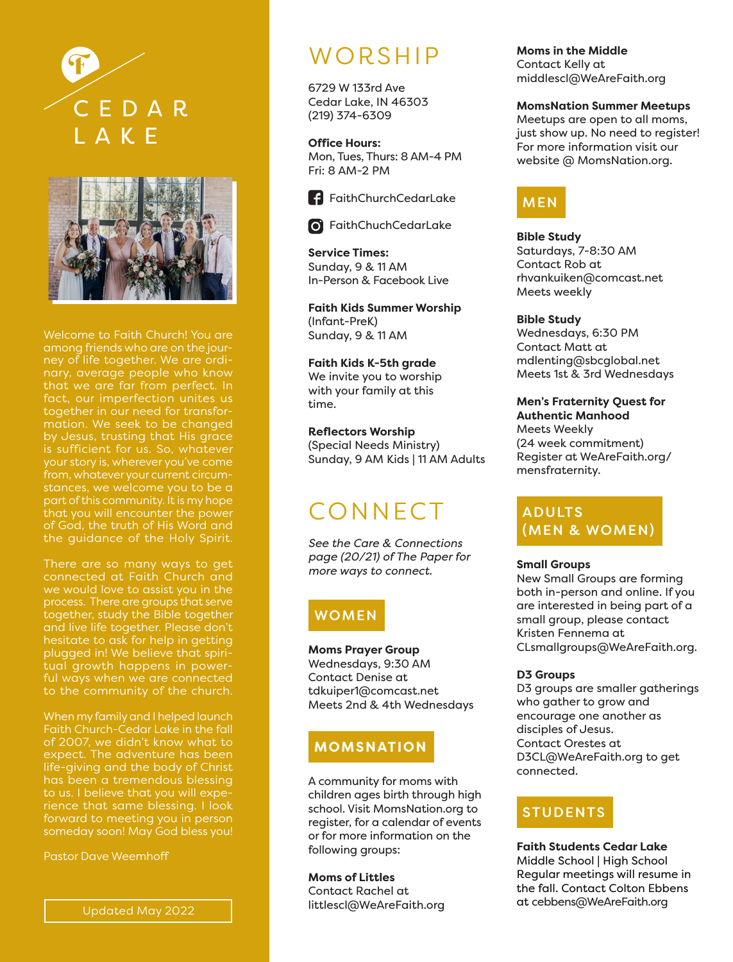



among friends who are on the journey of life together. We are ordinary, average people who know fact, our imperfection unites us together in our need for transformation. We seek to be changed by Jesus, trusting that His grace part of this community. It is my hope that you will encounter the power the guidance of the Holy Spirit.

There are so many ways to get connected at Faith Church and together, study the Bible together and live life together. Please don't hesitate to ask for help in getting plugged in! We believe that spiritual growth happens in powerful ways when we are connected

When my family and I helped launch Faith Church-Cedar Lake in the fall of 2007, we didn't know what to expect. The adventure has been to us. I believe that you will experience that same blessing. I look forward to meeting you in person someday soon! May God bless you!

Pastor Dave Weemhoff

# WORSHIP

6729 W 133rd Ave Cedar Lake, IN 46303 (219) 374-6309

**Office Hours:** Mon, Tues, Thurs: 8 AM-4 PM Fri: 8 AM-2 PM



FaithChurchCedarLake

**6** FaithChuchCedarLake

**Service Times:** Sunday, 9 & 11 AM In-Person & Facebook Live

**Faith Kids Summer Worship** (Infant-PreK) Sunday, 9 & 11 AM

**Faith Kids K-5th grade** We invite you to worship with your family at this time.

**Reflectors Worship** (Special Needs Ministry) Sunday, 9 AM Kids | 11 AM Adults

# **CONNECT**

*See the Care & Connections page (20/21) of The Paper for more ways to connect.*

## WOMEN

**Moms Prayer Group** Wednesdays, 9:30 AM Contact Denise at tdkuiper1@comcast.net Meets 2nd & 4th Wednesdays

### **MOMSNATION**

A community for moms with children ages birth through high school. Visit MomsNation.org to register, for a calendar of events or for more information on the following groups:

**Moms of Littles** Contact Rachel at littlescl@WeAreFaith.org

#### **Moms in the Middle**

Contact Kelly at middlescl@WeAreFaith.org

#### **MomsNation Summer Meetups**

Meetups are open to all moms, just show up. No need to register! For more information visit our website @ MomsNation.org.

# MEN

**Bible Study**  Saturdays, 7-8:30 AM Contact Rob at rhvankuiken@comcast.net Meets weekly

#### **Bible Study**

Wednesdays, 6:30 PM Contact Matt at mdlenting@sbcglobal.net Meets 1st & 3rd Wednesdays

**Men's Fraternity Quest for**

**Authentic Manhood** Meets Weekly (24 week commitment) Register at WeAreFaith.org/ mensfraternity.

### ADULTS (MEN & WOMEN)

#### **Small Groups**

New Small Groups are forming both in-person and online. If you are interested in being part of a small group, please contact Kristen Fennema at CLsmallgroups@WeAreFaith.org.

#### **D3 Groups**

D3 groups are smaller gatherings who gather to grow and encourage one another as disciples of Jesus. Contact Orestes at D3CL@WeAreFaith.org to get connected.

## STUDENTS

**Faith Students Cedar Lake** Middle School | High School Regular meetings will resume in the fall. Contact Colton Ebbens at cebbens@WeAreFaith.org

Updated May 2022